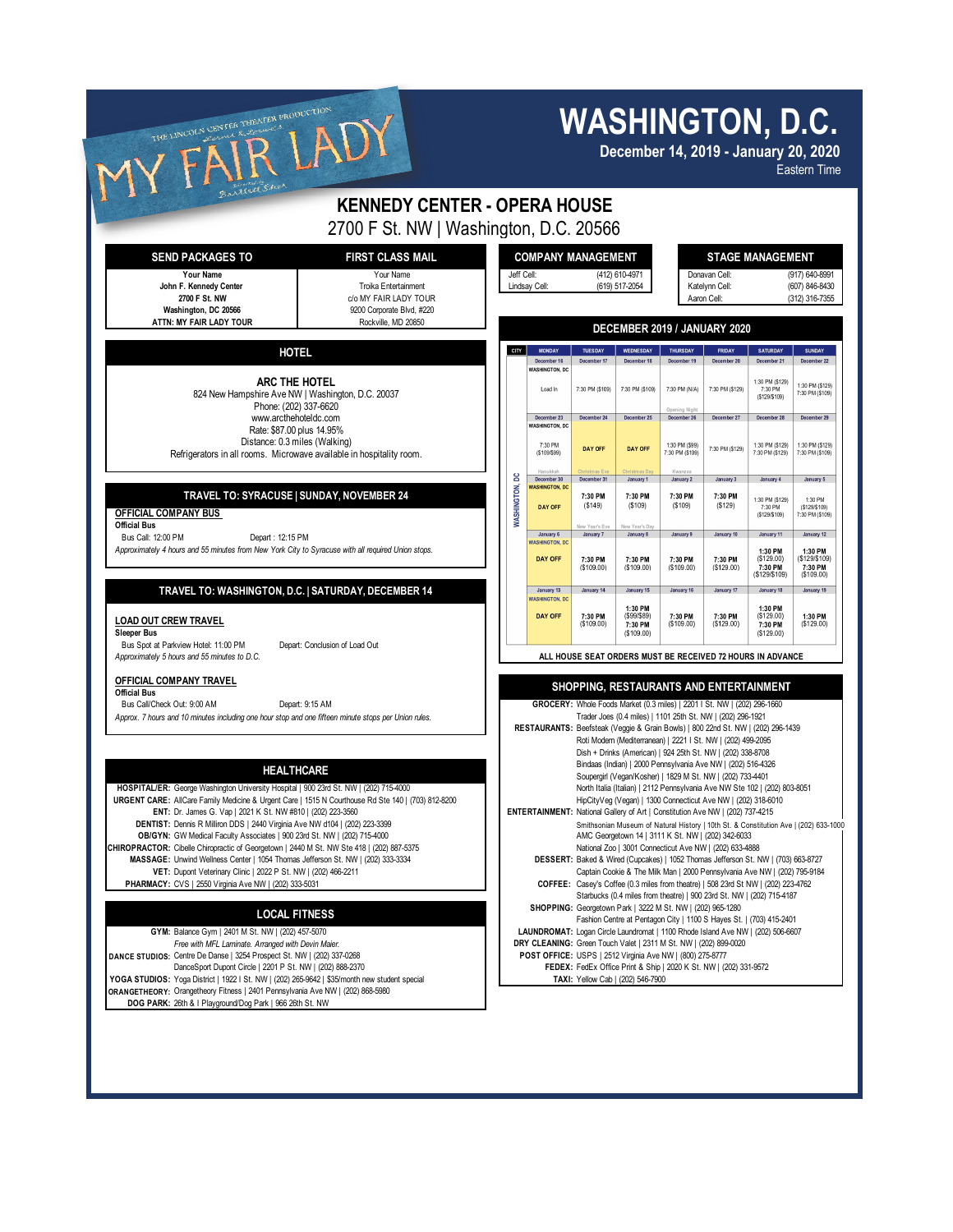| THE LINCOLN CENTER THEATER PRODUCTION<br>allett Sher                                                                                                                                                                                                                                                                                                                                                                                                                                                                                    | <b>WASHINGTON, D.C.</b><br>December 14, 2019 - January 20, 2020<br><b>Eastern Time</b>                                                                                                                                                                                                                                                                                                                                                                                                              |                                                                                                                                                                                                                                                                                                                                                                                                                                                                   |                                                      |                                                                |                                                             |                                                                   |                                                                               |                                                                  |  |
|-----------------------------------------------------------------------------------------------------------------------------------------------------------------------------------------------------------------------------------------------------------------------------------------------------------------------------------------------------------------------------------------------------------------------------------------------------------------------------------------------------------------------------------------|-----------------------------------------------------------------------------------------------------------------------------------------------------------------------------------------------------------------------------------------------------------------------------------------------------------------------------------------------------------------------------------------------------------------------------------------------------------------------------------------------------|-------------------------------------------------------------------------------------------------------------------------------------------------------------------------------------------------------------------------------------------------------------------------------------------------------------------------------------------------------------------------------------------------------------------------------------------------------------------|------------------------------------------------------|----------------------------------------------------------------|-------------------------------------------------------------|-------------------------------------------------------------------|-------------------------------------------------------------------------------|------------------------------------------------------------------|--|
| <b>KENNEDY CENTER - OPERA HOUSE</b>                                                                                                                                                                                                                                                                                                                                                                                                                                                                                                     |                                                                                                                                                                                                                                                                                                                                                                                                                                                                                                     |                                                                                                                                                                                                                                                                                                                                                                                                                                                                   |                                                      |                                                                |                                                             |                                                                   |                                                                               |                                                                  |  |
| 2700 F St. NW   Washington, D.C. 20566<br><b>FIRST CLASS MAIL</b><br><b>SEND PACKAGES TO</b><br>Your Name<br>Your Name<br>John F. Kennedy Center<br>Troika Entertainment<br>2700 F St. NW<br>c/o MY FAIR LADY TOUR<br>Washington, DC 20566<br>9200 Corporate Blvd, #220<br>ATTN: MY FAIR LADY TOUR<br>Rockville, MD 20850                                                                                                                                                                                                               | Jeff Cell:                                                                                                                                                                                                                                                                                                                                                                                                                                                                                          | <b>COMPANY MANAGEMENT</b><br>Lindsay Cell:                                                                                                                                                                                                                                                                                                                                                                                                                        |                                                      | (412) 610-4971<br>(619) 517-2054                               | Donavan Cell:<br>Katelynn Cell:<br>Aaron Cell:              |                                                                   | <b>STAGE MANAGEMENT</b><br>(917) 640-8991<br>(607) 846-8430<br>(312) 316-7355 |                                                                  |  |
|                                                                                                                                                                                                                                                                                                                                                                                                                                                                                                                                         | CITY                                                                                                                                                                                                                                                                                                                                                                                                                                                                                                | DECEMBER 2019 / JANUARY 2020<br><b>MONDAY</b><br>TUESDAY<br>THURSDAY<br><b>SATURDAY</b><br><b>SUNDAY</b><br>WEDNESDAY<br>FRIDAY                                                                                                                                                                                                                                                                                                                                   |                                                      |                                                                |                                                             |                                                                   |                                                                               |                                                                  |  |
| <b>HOTEL</b><br>ARC THE HOTEL<br>824 New Hampshire Ave NW   Washington, D.C. 20037<br>Phone: (202) 337-6620<br>www.arcthehoteldc.com<br>Rate: \$87.00 plus 14.95%<br>Distance: 0.3 miles (Walking)<br>Refrigerators in all rooms. Microwave available in hospitality room.<br>TRAVEL TO: SYRACUSE   SUNDAY, NOVEMBER 24<br>OFFICIAL COMPANY BUS<br><b>Official Bus</b><br>Bus Call: 12:00 PM<br>Depart: 12:15 PM<br>Approximately 4 hours and 55 minutes from New York City to Syracuse with all required Union stops.                  |                                                                                                                                                                                                                                                                                                                                                                                                                                                                                                     | December 16<br><b>WASHINGTON, DC</b><br>Load In<br>December 23<br><b>WASHINGTON, DC</b>                                                                                                                                                                                                                                                                                                                                                                           | December 17<br>7:30 PM (\$109)<br>December 24        | December 18<br>7:30 PM (\$109)<br>December 25                  | December 19<br>7:30 PM (N/A)<br>Onening Nigh<br>December 26 | December 20<br>7:30 PM (\$129)<br>December 27                     | December 21<br>1:30 PM (\$129)<br>7:30 PM<br>(\$129/\$109)<br>December 28     | December 22<br>1:30 PM (\$129)<br>7:30 PM (\$109)<br>December 29 |  |
|                                                                                                                                                                                                                                                                                                                                                                                                                                                                                                                                         |                                                                                                                                                                                                                                                                                                                                                                                                                                                                                                     | 7:30 PM<br>(\$109/\$99)                                                                                                                                                                                                                                                                                                                                                                                                                                           | <b>DAY OFF</b>                                       | <b>DAY OFF</b>                                                 | 1:30 PM (\$99)<br>7:30 PM (\$109)<br>Kwanzaa                | 7:30 PM (\$129)                                                   | 1:30 PM (\$129)<br>7:30 PM (\$129)                                            | 1:30 PM (\$129)<br>7:30 PM (\$109)                               |  |
|                                                                                                                                                                                                                                                                                                                                                                                                                                                                                                                                         | g<br><b>MASHINGTON,</b>                                                                                                                                                                                                                                                                                                                                                                                                                                                                             | December 30<br><b>WASHINGTON, DC</b><br><b>DAY OFF</b>                                                                                                                                                                                                                                                                                                                                                                                                            | December 31<br>7:30 PM<br>( \$149)<br>New Year's Eve | January 1<br>7:30 PM<br>(\$109)<br>New Year's Day              | January 2<br>7:30 PM<br>( \$109)                            | January 3<br>7:30 PM<br>(\$129)                                   | January 4<br>1:30 PM (\$129)<br>7:30 PM<br>( \$129/\$109)                     | January 5<br>1:30 PM<br>( \$129/\$109)<br>7:30 PM (\$109)        |  |
|                                                                                                                                                                                                                                                                                                                                                                                                                                                                                                                                         |                                                                                                                                                                                                                                                                                                                                                                                                                                                                                                     | January 6<br><b>WASHINGTON, DC</b><br><b>DAY OFF</b>                                                                                                                                                                                                                                                                                                                                                                                                              | January 7<br>7:30 PM<br>( \$109.00)                  | January 8<br>7:30 PM<br>( \$109.00)                            | January 9<br>7:30 PM<br>(S109.00)                           | January 10<br>7:30 PM<br>(\$129.00)                               | January 11<br>1:30 PM<br>(S129.00)<br>7:30 PM<br>(\$129/\$109)                | January 12<br>1:30 PM<br>(\$129/\$109)<br>7:30 PM<br>(\$109.00)  |  |
| TRAVEL TO: WASHINGTON, D.C.   SATURDAY, DECEMBER 14<br><b>LOAD OUT CREW TRAVEL</b><br><b>Sleeper Bus</b>                                                                                                                                                                                                                                                                                                                                                                                                                                |                                                                                                                                                                                                                                                                                                                                                                                                                                                                                                     | January 13<br><b>WASHINGTON, DC</b><br><b>DAY OFF</b>                                                                                                                                                                                                                                                                                                                                                                                                             | January 14<br>7:30 PM<br>( \$109.00)                 | January 15<br>1:30 PM<br>(\$99/\$89)<br>7:30 PM<br>( \$109.00) | January 16<br>7:30 PM<br>(S109.00)                          | January 17<br>7:30 PM<br>(\$129.00)                               | January 18<br>1:30 PM<br>( \$129.00)<br>7:30 PM<br>(S129.00)                  | January 19<br>1:30 PM<br>(\$129.00)                              |  |
| Bus Spot at Parkview Hotel: 11:00 PM<br>Depart: Conclusion of Load Out<br>Approximately 5 hours and 55 minutes to D.C.                                                                                                                                                                                                                                                                                                                                                                                                                  | ALL HOUSE SEAT ORDERS MUST BE RECEIVED 72 HOURS IN ADVANCE                                                                                                                                                                                                                                                                                                                                                                                                                                          |                                                                                                                                                                                                                                                                                                                                                                                                                                                                   |                                                      |                                                                |                                                             |                                                                   |                                                                               |                                                                  |  |
| OFFICIAL COMPANY TRAVEL<br><b>Official Bus</b><br>Bus Call/Check Out: 9:00 AM<br>Depart: 9:15 AM<br>Approx. 7 hours and 10 minutes including one hour stop and one fifteen minute stops per Union rules.                                                                                                                                                                                                                                                                                                                                | <b>SHOPPING. RESTAURANTS AND ENTERTAINMENT</b><br>GROCERY: Whole Foods Market (0.3 miles)   2201   St. NW   (202) 296-1660<br>Trader Joes (0.4 miles)   1101 25th St. NW   (202) 296-1921<br>RESTAURANTS: Beefsteak (Veggie & Grain Bowls)   800 22nd St. NW   (202) 296-1439<br>Roti Modern (Mediterranean)   2221   St. NW   (202) 499-2095<br>Dish + Drinks (American)   924 25th St. NW   (202) 338-8708<br>Bindaas (Indian)   2000 Pennsylvania Ave NW   (202) 516-4326                        |                                                                                                                                                                                                                                                                                                                                                                                                                                                                   |                                                      |                                                                |                                                             |                                                                   |                                                                               |                                                                  |  |
| <b>HEALTHCARE</b><br>HOSPITAL/ER: George Washington University Hospital   900 23rd St. NW   (202) 715-4000<br>URGENT CARE: AllCare Family Medicine & Urgent Care   1515 N Courthouse Rd Ste 140   (703) 812-8200<br>ENT: Dr. James G. Vap   2021 K St. NW #810   (202) 223-3560<br>DENTIST: Dennis R Milliron DDS   2440 Virginia Ave NW d104   (202) 223-3399<br>OB/GYN: GW Medical Faculty Associates   900 23rd St. NW   (202) 715-4000<br>CHIROPRACTOR: Cibelle Chiropractic of Georgetown   2440 M St. NW Ste 418   (202) 887-5375 | Soupergirl (Vegan/Kosher)   1829 M St. NW   (202) 733-4401<br>North Italia (Italian)   2112 Pennsylvania Ave NW Ste 102   (202) 803-8051<br>HipCityVeg (Vegan)   1300 Connecticut Ave NW   (202) 318-6010<br>ENTERTAINMENT: National Gallery of Art   Constitution Ave NW   (202) 737-4215<br>Smithsonian Museum of Natural History   10th St. & Constitution Ave   (202) 633-1000<br>AMC Georgetown 14   3111 K St. NW   (202) 342-6033<br>National Zoo   3001 Connecticut Ave NW   (202) 633-4888 |                                                                                                                                                                                                                                                                                                                                                                                                                                                                   |                                                      |                                                                |                                                             |                                                                   |                                                                               |                                                                  |  |
| MASSAGE: Unwind Wellness Center   1054 Thomas Jefferson St. NW   (202) 333-3334<br>VET: Dupont Veterinary Clinic   2022 P St. NW   (202) 466-2211<br>PHARMACY: CVS   2550 Virginia Ave NW   (202) 333-5031<br><b>LOCAL FITNESS</b>                                                                                                                                                                                                                                                                                                      |                                                                                                                                                                                                                                                                                                                                                                                                                                                                                                     | DESSERT: Baked & Wired (Cupcakes)   1052 Thomas Jefferson St. NW   (703) 663-8727<br>Captain Cookie & The Milk Man   2000 Pennsylvania Ave NW   (202) 795-9184<br>COFFEE: Casey's Coffee (0.3 miles from theatre)   508 23rd St NW   (202) 223-4762<br>Starbucks (0.4 miles from theatre)   900 23rd St. NW   (202) 715-4187<br>SHOPPING: Georgetown Park   3222 M St. NW   (202) 965-1280<br>Fashion Centre at Pentagon City   1100 S Hayes St.   (703) 415-2401 |                                                      |                                                                |                                                             |                                                                   |                                                                               |                                                                  |  |
| GYM: Balance Gym   2401 M St. NW   (202) 457-5070<br>Free with MFL Laminate. Arranged with Devin Maier.<br>DANCE STUDIOS: Centre De Danse   3254 Prospect St. NW   (202) 337-0268<br>DanceSport Dupont Circle   2201 P St. NW   (202) 888-2370<br>YOGA STUDIOS: Yoga District   1922   St. NW   (202) 265-9642   \$35/month new student special<br>ORANGETHEORY: Orangetheory Fitness   2401 Pennsylvania Ave NW   (202) 868-5980<br>DOG PARK: 26th & I Playground/Dog Park   966 26th St. NW                                           |                                                                                                                                                                                                                                                                                                                                                                                                                                                                                                     | LAUNDROMAT: Logan Circle Laundromat   1100 Rhode Island Ave NW   (202) 506-6607<br>DRY CLEANING: Green Touch Valet   2311 M St. NW   (202) 899-0020<br>POST OFFICE: USPS   2512 Virginia Ave NW   (800) 275-8777                                                                                                                                                                                                                                                  |                                                      | TAXI: Yellow Cab   (202) 546-7900                              |                                                             | FEDEX: FedEx Office Print & Ship   2020 K St. NW   (202) 331-9572 |                                                                               |                                                                  |  |